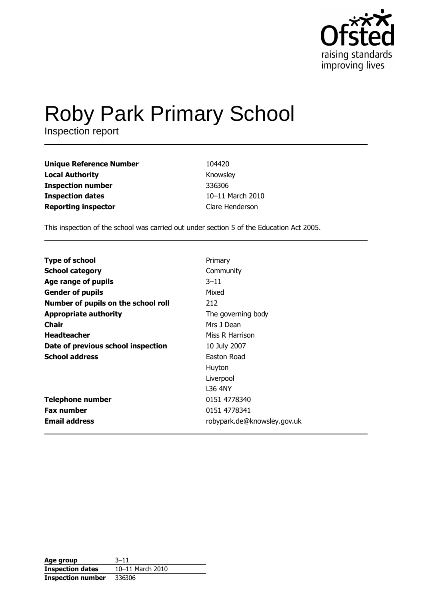

# Roby Park Primary School

| <b>Unique Reference Number</b> | 104420           |
|--------------------------------|------------------|
| <b>Local Authority</b>         | Knowsley         |
| <b>Inspection number</b>       | 336306           |
| <b>Inspection dates</b>        | 10-11 March 2010 |
| <b>Reporting inspector</b>     | Clare Henderson  |

This inspection of the school was carried out under section 5 of the Education Act 2005.

| <b>Type of school</b>               | Primary                     |
|-------------------------------------|-----------------------------|
| <b>School category</b>              | Community                   |
| Age range of pupils                 | $3 - 11$                    |
| <b>Gender of pupils</b>             | Mixed                       |
| Number of pupils on the school roll | 212                         |
| <b>Appropriate authority</b>        | The governing body          |
| <b>Chair</b>                        | Mrs J Dean                  |
| <b>Headteacher</b>                  | Miss R Harrison             |
| Date of previous school inspection  | 10 July 2007                |
| <b>School address</b>               | Easton Road                 |
|                                     | Huyton                      |
|                                     | Liverpool                   |
|                                     | L36 4NY                     |
| <b>Telephone number</b>             | 0151 4778340                |
| <b>Fax number</b>                   | 0151 4778341                |
| <b>Email address</b>                | robypark.de@knowsley.gov.uk |

| Age group                | $3 - 11$         |
|--------------------------|------------------|
| <b>Inspection dates</b>  | 10-11 March 2010 |
| <b>Inspection number</b> | 336306           |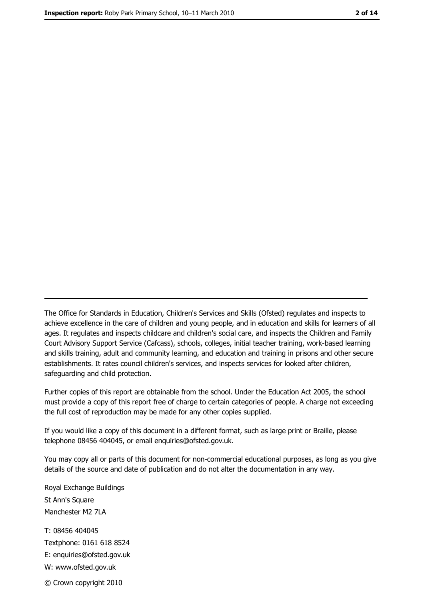The Office for Standards in Education, Children's Services and Skills (Ofsted) regulates and inspects to achieve excellence in the care of children and young people, and in education and skills for learners of all ages. It regulates and inspects childcare and children's social care, and inspects the Children and Family Court Advisory Support Service (Cafcass), schools, colleges, initial teacher training, work-based learning and skills training, adult and community learning, and education and training in prisons and other secure establishments. It rates council children's services, and inspects services for looked after children, safequarding and child protection.

Further copies of this report are obtainable from the school. Under the Education Act 2005, the school must provide a copy of this report free of charge to certain categories of people. A charge not exceeding the full cost of reproduction may be made for any other copies supplied.

If you would like a copy of this document in a different format, such as large print or Braille, please telephone 08456 404045, or email enquiries@ofsted.gov.uk.

You may copy all or parts of this document for non-commercial educational purposes, as long as you give details of the source and date of publication and do not alter the documentation in any way.

Royal Exchange Buildings St Ann's Square Manchester M2 7LA T: 08456 404045 Textphone: 0161 618 8524 E: enquiries@ofsted.gov.uk W: www.ofsted.gov.uk © Crown copyright 2010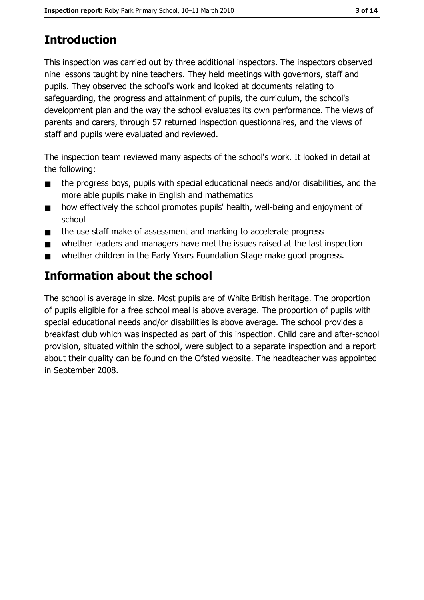# **Introduction**

This inspection was carried out by three additional inspectors. The inspectors observed nine lessons taught by nine teachers. They held meetings with governors, staff and pupils. They observed the school's work and looked at documents relating to safeguarding, the progress and attainment of pupils, the curriculum, the school's development plan and the way the school evaluates its own performance. The views of parents and carers, through 57 returned inspection questionnaires, and the views of staff and pupils were evaluated and reviewed.

The inspection team reviewed many aspects of the school's work. It looked in detail at the following:

- the progress boys, pupils with special educational needs and/or disabilities, and the  $\blacksquare$ more able pupils make in English and mathematics
- how effectively the school promotes pupils' health, well-being and enjoyment of  $\blacksquare$ school
- the use staff make of assessment and marking to accelerate progress  $\blacksquare$
- whether leaders and managers have met the issues raised at the last inspection  $\blacksquare$
- whether children in the Early Years Foundation Stage make good progress.  $\blacksquare$

# Information about the school

The school is average in size. Most pupils are of White British heritage. The proportion of pupils eligible for a free school meal is above average. The proportion of pupils with special educational needs and/or disabilities is above average. The school provides a breakfast club which was inspected as part of this inspection. Child care and after-school provision, situated within the school, were subject to a separate inspection and a report about their quality can be found on the Ofsted website. The headteacher was appointed in September 2008.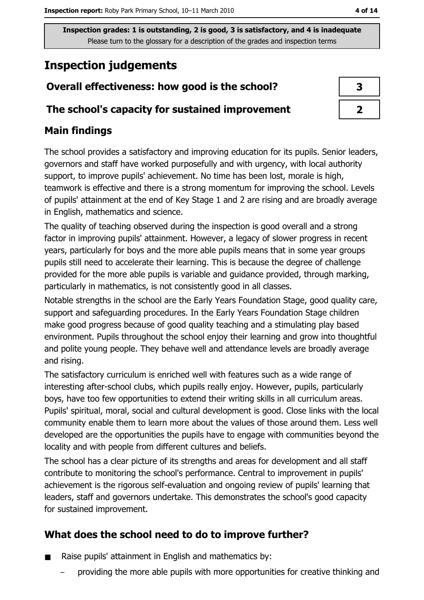# **Inspection judgements**

## Overall effectiveness: how good is the school?

#### The school's capacity for sustained improvement

## **Main findings**

The school provides a satisfactory and improving education for its pupils. Senior leaders, governors and staff have worked purposefully and with urgency, with local authority support, to improve pupils' achievement. No time has been lost, morale is high, teamwork is effective and there is a strong momentum for improving the school. Levels of pupils' attainment at the end of Key Stage 1 and 2 are rising and are broadly average in English, mathematics and science.

The quality of teaching observed during the inspection is good overall and a strong factor in improving pupils' attainment. However, a legacy of slower progress in recent years, particularly for boys and the more able pupils means that in some year groups pupils still need to accelerate their learning. This is because the degree of challenge provided for the more able pupils is variable and guidance provided, through marking, particularly in mathematics, is not consistently good in all classes.

Notable strengths in the school are the Early Years Foundation Stage, good quality care, support and safeguarding procedures. In the Early Years Foundation Stage children make good progress because of good quality teaching and a stimulating play based environment. Pupils throughout the school enjoy their learning and grow into thoughtful and polite young people. They behave well and attendance levels are broadly average and rising.

The satisfactory curriculum is enriched well with features such as a wide range of interesting after-school clubs, which pupils really enjoy. However, pupils, particularly boys, have too few opportunities to extend their writing skills in all curriculum areas. Pupils' spiritual, moral, social and cultural development is good. Close links with the local community enable them to learn more about the values of those around them. Less well developed are the opportunities the pupils have to engage with communities beyond the locality and with people from different cultures and beliefs.

The school has a clear picture of its strengths and areas for development and all staff contribute to monitoring the school's performance. Central to improvement in pupils' achievement is the rigorous self-evaluation and ongoing review of pupils' learning that leaders, staff and governors undertake. This demonstrates the school's good capacity for sustained improvement.

## What does the school need to do to improve further?

- Raise pupils' attainment in English and mathematics by:  $\blacksquare$ 
	- providing the more able pupils with more opportunities for creative thinking and

| З |  |
|---|--|
|   |  |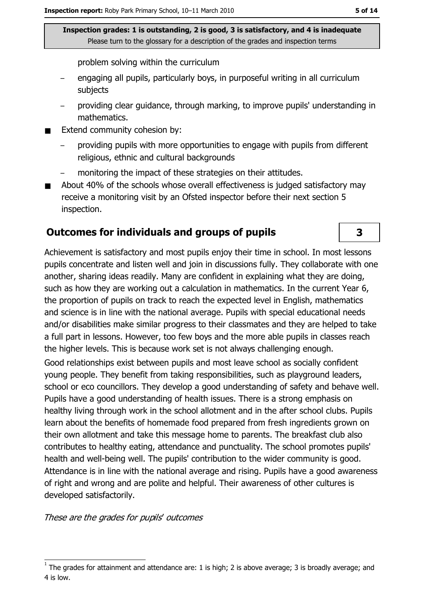problem solving within the curriculum

- engaging all pupils, particularly boys, in purposeful writing in all curriculum subjects
- providing clear quidance, through marking, to improve pupils' understanding in mathematics.
- Extend community cohesion by:
	- providing pupils with more opportunities to engage with pupils from different religious, ethnic and cultural backgrounds
	- monitoring the impact of these strategies on their attitudes.
- About 40% of the schools whose overall effectiveness is judged satisfactory may receive a monitoring visit by an Ofsted inspector before their next section 5 inspection.

#### **Outcomes for individuals and groups of pupils**

Achievement is satisfactory and most pupils enjoy their time in school. In most lessons pupils concentrate and listen well and join in discussions fully. They collaborate with one another, sharing ideas readily. Many are confident in explaining what they are doing, such as how they are working out a calculation in mathematics. In the current Year 6, the proportion of pupils on track to reach the expected level in English, mathematics and science is in line with the national average. Pupils with special educational needs and/or disabilities make similar progress to their classmates and they are helped to take a full part in lessons. However, too few boys and the more able pupils in classes reach the higher levels. This is because work set is not always challenging enough.

Good relationships exist between pupils and most leave school as socially confident young people. They benefit from taking responsibilities, such as playground leaders, school or eco councillors. They develop a good understanding of safety and behave well. Pupils have a good understanding of health issues. There is a strong emphasis on healthy living through work in the school allotment and in the after school clubs. Pupils learn about the benefits of homemade food prepared from fresh ingredients grown on their own allotment and take this message home to parents. The breakfast club also contributes to healthy eating, attendance and punctuality. The school promotes pupils' health and well-being well. The pupils' contribution to the wider community is good. Attendance is in line with the national average and rising. Pupils have a good awareness of right and wrong and are polite and helpful. Their awareness of other cultures is developed satisfactorily.

These are the grades for pupils' outcomes

 $\overline{\mathbf{3}}$ 

The grades for attainment and attendance are: 1 is high; 2 is above average; 3 is broadly average; and 4 is low.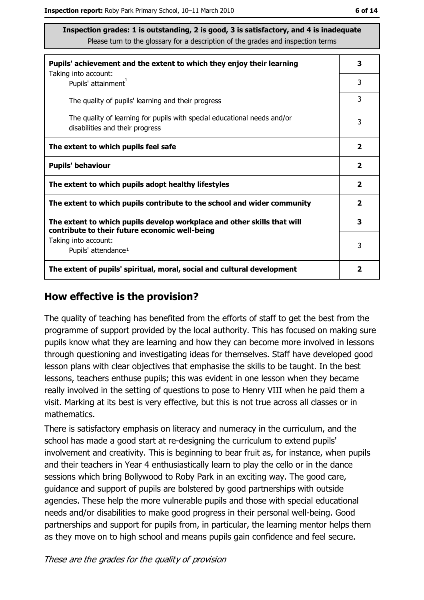| Pupils' achievement and the extent to which they enjoy their learning                                                     |                         |
|---------------------------------------------------------------------------------------------------------------------------|-------------------------|
| Taking into account:<br>Pupils' attainment <sup>1</sup>                                                                   | 3                       |
| The quality of pupils' learning and their progress                                                                        | 3                       |
| The quality of learning for pupils with special educational needs and/or<br>disabilities and their progress               | 3                       |
| The extent to which pupils feel safe                                                                                      | $\overline{\mathbf{2}}$ |
| <b>Pupils' behaviour</b>                                                                                                  | $\overline{\mathbf{2}}$ |
| The extent to which pupils adopt healthy lifestyles                                                                       | $\mathbf{2}$            |
| The extent to which pupils contribute to the school and wider community                                                   |                         |
| The extent to which pupils develop workplace and other skills that will<br>contribute to their future economic well-being | 3                       |
| Taking into account:<br>Pupils' attendance <sup>1</sup>                                                                   | 3                       |
| The extent of pupils' spiritual, moral, social and cultural development                                                   |                         |

#### How effective is the provision?

The quality of teaching has benefited from the efforts of staff to get the best from the programme of support provided by the local authority. This has focused on making sure pupils know what they are learning and how they can become more involved in lessons through questioning and investigating ideas for themselves. Staff have developed good lesson plans with clear objectives that emphasise the skills to be taught. In the best lessons, teachers enthuse pupils; this was evident in one lesson when they became really involved in the setting of questions to pose to Henry VIII when he paid them a visit. Marking at its best is very effective, but this is not true across all classes or in mathematics.

There is satisfactory emphasis on literacy and numeracy in the curriculum, and the school has made a good start at re-designing the curriculum to extend pupils' involvement and creativity. This is beginning to bear fruit as, for instance, when pupils and their teachers in Year 4 enthusiastically learn to play the cello or in the dance sessions which bring Bollywood to Roby Park in an exciting way. The good care, guidance and support of pupils are bolstered by good partnerships with outside agencies. These help the more vulnerable pupils and those with special educational needs and/or disabilities to make good progress in their personal well-being. Good partnerships and support for pupils from, in particular, the learning mentor helps them as they move on to high school and means pupils gain confidence and feel secure.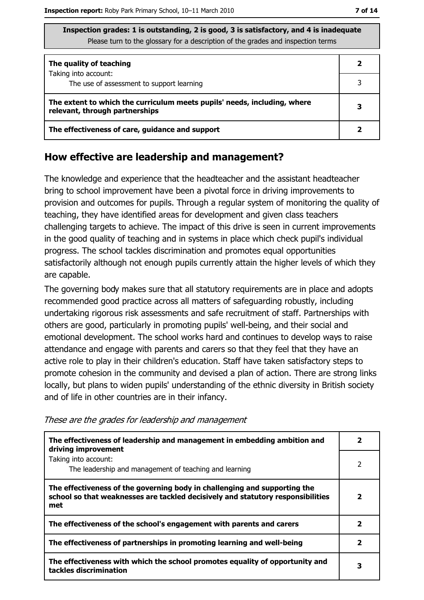| Inspection grades: 1 is outstanding, 2 is good, 3 is satisfactory, and 4 is inadequate |
|----------------------------------------------------------------------------------------|
| Please turn to the glossary for a description of the grades and inspection terms       |

| The quality of teaching                                                                                    |  |
|------------------------------------------------------------------------------------------------------------|--|
| Taking into account:<br>The use of assessment to support learning                                          |  |
| The extent to which the curriculum meets pupils' needs, including, where<br>relevant, through partnerships |  |
| The effectiveness of care, guidance and support                                                            |  |

#### How effective are leadership and management?

The knowledge and experience that the headteacher and the assistant headteacher bring to school improvement have been a pivotal force in driving improvements to provision and outcomes for pupils. Through a regular system of monitoring the quality of teaching, they have identified areas for development and given class teachers challenging targets to achieve. The impact of this drive is seen in current improvements in the good quality of teaching and in systems in place which check pupil's individual progress. The school tackles discrimination and promotes equal opportunities satisfactorily although not enough pupils currently attain the higher levels of which they are capable.

The governing body makes sure that all statutory requirements are in place and adopts recommended good practice across all matters of safeguarding robustly, including undertaking rigorous risk assessments and safe recruitment of staff. Partnerships with others are good, particularly in promoting pupils' well-being, and their social and emotional development. The school works hard and continues to develop ways to raise attendance and engage with parents and carers so that they feel that they have an active role to play in their children's education. Staff have taken satisfactory steps to promote cohesion in the community and devised a plan of action. There are strong links locally, but plans to widen pupils' understanding of the ethnic diversity in British society and of life in other countries are in their infancy.

| The effectiveness of leadership and management in embedding ambition and<br>driving improvement                                                                     |              |
|---------------------------------------------------------------------------------------------------------------------------------------------------------------------|--------------|
| Taking into account:<br>The leadership and management of teaching and learning                                                                                      | 2            |
| The effectiveness of the governing body in challenging and supporting the<br>school so that weaknesses are tackled decisively and statutory responsibilities<br>met | 2            |
| The effectiveness of the school's engagement with parents and carers                                                                                                | 2            |
| The effectiveness of partnerships in promoting learning and well-being                                                                                              | $\mathbf{2}$ |
| The effectiveness with which the school promotes equality of opportunity and<br>tackles discrimination                                                              | 3            |

These are the grades for leadership and management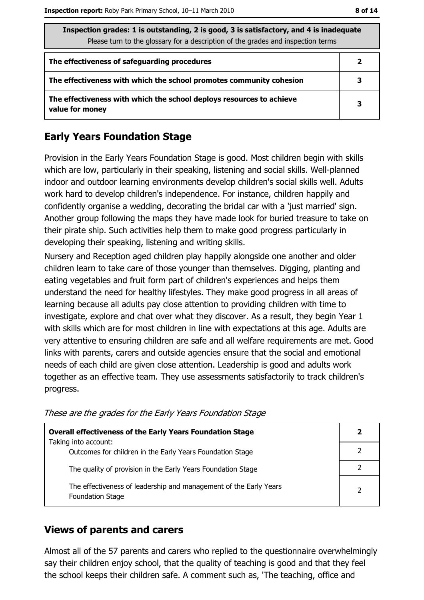| Inspection grades: 1 is outstanding, 2 is good, 3 is satisfactory, and 4 is inadequate<br>Please turn to the glossary for a description of the grades and inspection terms |   |  |
|----------------------------------------------------------------------------------------------------------------------------------------------------------------------------|---|--|
| The effectiveness of safeguarding procedures                                                                                                                               |   |  |
| The effectiveness with which the school promotes community cohesion                                                                                                        | З |  |
| The effectiveness with which the school deploys resources to achieve<br>value for money                                                                                    | 3 |  |

## **Early Years Foundation Stage**

Provision in the Early Years Foundation Stage is good. Most children begin with skills which are low, particularly in their speaking, listening and social skills. Well-planned indoor and outdoor learning environments develop children's social skills well. Adults work hard to develop children's independence. For instance, children happily and confidently organise a wedding, decorating the bridal car with a 'just married' sign. Another group following the maps they have made look for buried treasure to take on their pirate ship. Such activities help them to make good progress particularly in developing their speaking, listening and writing skills.

Nursery and Reception aged children play happily alongside one another and older children learn to take care of those younger than themselves. Digging, planting and eating vegetables and fruit form part of children's experiences and helps them understand the need for healthy lifestyles. They make good progress in all areas of learning because all adults pay close attention to providing children with time to investigate, explore and chat over what they discover. As a result, they begin Year 1 with skills which are for most children in line with expectations at this age. Adults are very attentive to ensuring children are safe and all welfare requirements are met. Good links with parents, carers and outside agencies ensure that the social and emotional needs of each child are given close attention. Leadership is good and adults work together as an effective team. They use assessments satisfactorily to track children's progress.

| <b>Overall effectiveness of the Early Years Foundation Stage</b>                             |  |
|----------------------------------------------------------------------------------------------|--|
| Taking into account:<br>Outcomes for children in the Early Years Foundation Stage            |  |
| The quality of provision in the Early Years Foundation Stage                                 |  |
| The effectiveness of leadership and management of the Early Years<br><b>Foundation Stage</b> |  |

These are the grades for the Early Years Foundation Stage

#### **Views of parents and carers**

Almost all of the 57 parents and carers who replied to the questionnaire overwhelmingly say their children enjoy school, that the quality of teaching is good and that they feel the school keeps their children safe. A comment such as, 'The teaching, office and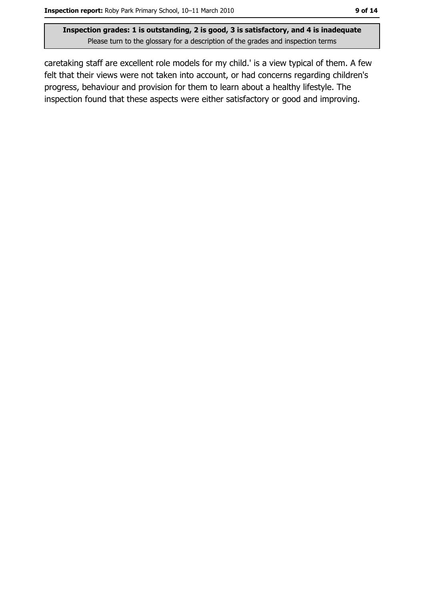caretaking staff are excellent role models for my child.' is a view typical of them. A few felt that their views were not taken into account, or had concerns regarding children's progress, behaviour and provision for them to learn about a healthy lifestyle. The inspection found that these aspects were either satisfactory or good and improving.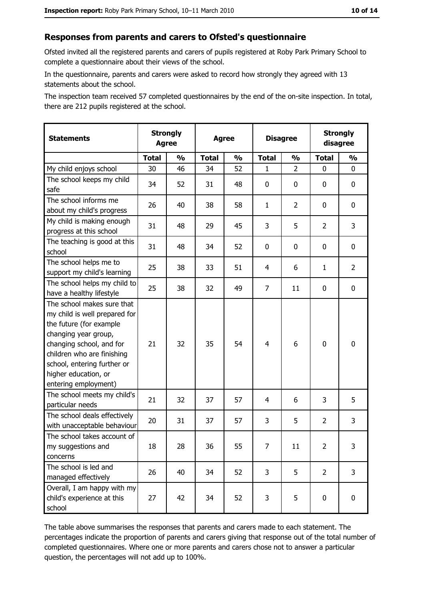#### Responses from parents and carers to Ofsted's questionnaire

Ofsted invited all the registered parents and carers of pupils registered at Roby Park Primary School to complete a questionnaire about their views of the school.

In the questionnaire, parents and carers were asked to record how strongly they agreed with 13 statements about the school.

The inspection team received 57 completed questionnaires by the end of the on-site inspection. In total, there are 212 pupils registered at the school.

| <b>Statements</b>                                                                                                                                                                                                                                       | <b>Strongly</b><br><b>Agree</b> |               | <b>Agree</b> |               |                | <b>Disagree</b> |                | <b>Strongly</b><br>disagree |
|---------------------------------------------------------------------------------------------------------------------------------------------------------------------------------------------------------------------------------------------------------|---------------------------------|---------------|--------------|---------------|----------------|-----------------|----------------|-----------------------------|
|                                                                                                                                                                                                                                                         | <b>Total</b>                    | $\frac{0}{0}$ | <b>Total</b> | $\frac{1}{2}$ | <b>Total</b>   | $\frac{1}{2}$   | <b>Total</b>   | $\frac{1}{2}$               |
| My child enjoys school                                                                                                                                                                                                                                  | 30                              | 46            | 34           | 52            | 1              | $\overline{2}$  | $\Omega$       | 0                           |
| The school keeps my child<br>safe                                                                                                                                                                                                                       | 34                              | 52            | 31           | 48            | 0              | 0               | 0              | $\mathbf 0$                 |
| The school informs me<br>about my child's progress                                                                                                                                                                                                      | 26                              | 40            | 38           | 58            | $\mathbf{1}$   | $\overline{2}$  | 0              | 0                           |
| My child is making enough<br>progress at this school                                                                                                                                                                                                    | 31                              | 48            | 29           | 45            | 3              | 5               | $\overline{2}$ | 3                           |
| The teaching is good at this<br>school                                                                                                                                                                                                                  | 31                              | 48            | 34           | 52            | 0              | 0               | 0              | 0                           |
| The school helps me to<br>support my child's learning                                                                                                                                                                                                   | 25                              | 38            | 33           | 51            | $\overline{4}$ | 6               | $\mathbf{1}$   | $\overline{2}$              |
| The school helps my child to<br>have a healthy lifestyle                                                                                                                                                                                                | 25                              | 38            | 32           | 49            | $\overline{7}$ | 11              | 0              | $\mathbf 0$                 |
| The school makes sure that<br>my child is well prepared for<br>the future (for example<br>changing year group,<br>changing school, and for<br>children who are finishing<br>school, entering further or<br>higher education, or<br>entering employment) | 21                              | 32            | 35           | 54            | $\overline{4}$ | 6               | $\mathbf 0$    | $\mathbf 0$                 |
| The school meets my child's<br>particular needs                                                                                                                                                                                                         | 21                              | 32            | 37           | 57            | 4              | 6               | 3              | 5                           |
| The school deals effectively<br>with unacceptable behaviour                                                                                                                                                                                             | 20                              | 31            | 37           | 57            | 3              | 5               | $\overline{2}$ | 3                           |
| The school takes account of<br>my suggestions and<br>concerns                                                                                                                                                                                           | 18                              | 28            | 36           | 55            | 7              | 11              | $\overline{2}$ | 3                           |
| The school is led and<br>managed effectively                                                                                                                                                                                                            | 26                              | 40            | 34           | 52            | 3              | 5               | $\overline{2}$ | $\overline{3}$              |
| Overall, I am happy with my<br>child's experience at this<br>school                                                                                                                                                                                     | 27                              | 42            | 34           | 52            | 3              | 5               | $\mathbf 0$    | $\mathbf 0$                 |

The table above summarises the responses that parents and carers made to each statement. The percentages indicate the proportion of parents and carers giving that response out of the total number of completed questionnaires. Where one or more parents and carers chose not to answer a particular question, the percentages will not add up to 100%.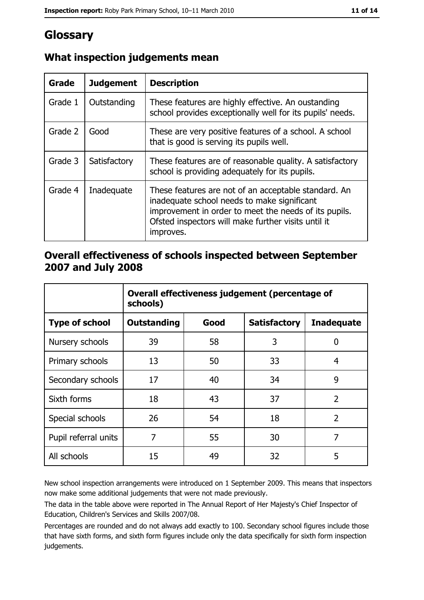# Glossary

| Grade   | <b>Judgement</b> | <b>Description</b>                                                                                                                                                                                                               |
|---------|------------------|----------------------------------------------------------------------------------------------------------------------------------------------------------------------------------------------------------------------------------|
| Grade 1 | Outstanding      | These features are highly effective. An oustanding<br>school provides exceptionally well for its pupils' needs.                                                                                                                  |
| Grade 2 | Good             | These are very positive features of a school. A school<br>that is good is serving its pupils well.                                                                                                                               |
| Grade 3 | Satisfactory     | These features are of reasonable quality. A satisfactory<br>school is providing adequately for its pupils.                                                                                                                       |
| Grade 4 | Inadequate       | These features are not of an acceptable standard. An<br>inadequate school needs to make significant<br>improvement in order to meet the needs of its pupils.<br>Ofsted inspectors will make further visits until it<br>improves. |

## What inspection judgements mean

## Overall effectiveness of schools inspected between September 2007 and July 2008

|                       | Overall effectiveness judgement (percentage of<br>schools) |      |                     |                   |
|-----------------------|------------------------------------------------------------|------|---------------------|-------------------|
| <b>Type of school</b> | <b>Outstanding</b>                                         | Good | <b>Satisfactory</b> | <b>Inadequate</b> |
| Nursery schools       | 39                                                         | 58   | 3                   | 0                 |
| Primary schools       | 13                                                         | 50   | 33                  | 4                 |
| Secondary schools     | 17                                                         | 40   | 34                  | 9                 |
| Sixth forms           | 18                                                         | 43   | 37                  | $\overline{2}$    |
| Special schools       | 26                                                         | 54   | 18                  | $\overline{2}$    |
| Pupil referral units  | 7                                                          | 55   | 30                  | 7                 |
| All schools           | 15                                                         | 49   | 32                  | 5                 |

New school inspection arrangements were introduced on 1 September 2009. This means that inspectors now make some additional judgements that were not made previously.

The data in the table above were reported in The Annual Report of Her Majesty's Chief Inspector of Education, Children's Services and Skills 2007/08.

Percentages are rounded and do not always add exactly to 100. Secondary school figures include those that have sixth forms, and sixth form figures include only the data specifically for sixth form inspection judgements.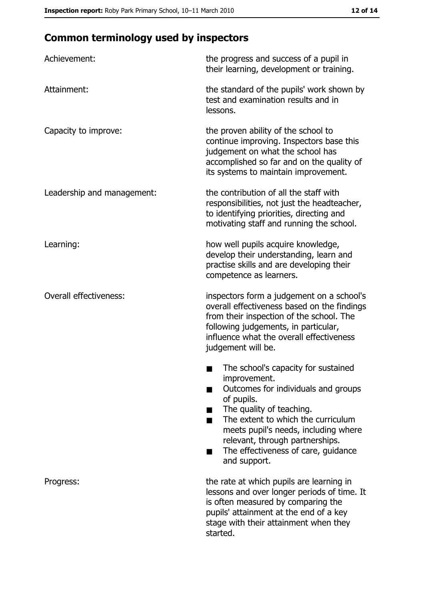# **Common terminology used by inspectors**

| Achievement:                  | the progress and success of a pupil in<br>their learning, development or training.                                                                                                                                                                                                                           |  |  |
|-------------------------------|--------------------------------------------------------------------------------------------------------------------------------------------------------------------------------------------------------------------------------------------------------------------------------------------------------------|--|--|
| Attainment:                   | the standard of the pupils' work shown by<br>test and examination results and in<br>lessons.                                                                                                                                                                                                                 |  |  |
| Capacity to improve:          | the proven ability of the school to<br>continue improving. Inspectors base this<br>judgement on what the school has<br>accomplished so far and on the quality of<br>its systems to maintain improvement.                                                                                                     |  |  |
| Leadership and management:    | the contribution of all the staff with<br>responsibilities, not just the headteacher,<br>to identifying priorities, directing and<br>motivating staff and running the school.                                                                                                                                |  |  |
| Learning:                     | how well pupils acquire knowledge,<br>develop their understanding, learn and<br>practise skills and are developing their<br>competence as learners.                                                                                                                                                          |  |  |
| <b>Overall effectiveness:</b> | inspectors form a judgement on a school's<br>overall effectiveness based on the findings<br>from their inspection of the school. The<br>following judgements, in particular,<br>influence what the overall effectiveness<br>judgement will be.                                                               |  |  |
|                               | The school's capacity for sustained<br>improvement.<br>Outcomes for individuals and groups<br>of pupils.<br>The quality of teaching.<br>The extent to which the curriculum<br>meets pupil's needs, including where<br>relevant, through partnerships.<br>The effectiveness of care, guidance<br>and support. |  |  |
| Progress:                     | the rate at which pupils are learning in<br>lessons and over longer periods of time. It<br>is often measured by comparing the<br>pupils' attainment at the end of a key<br>stage with their attainment when they<br>started.                                                                                 |  |  |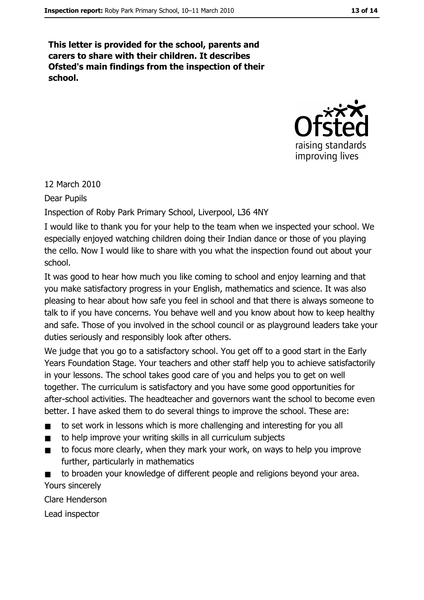This letter is provided for the school, parents and carers to share with their children. It describes Ofsted's main findings from the inspection of their school.



12 March 2010

**Dear Pupils** 

Inspection of Roby Park Primary School, Liverpool, L36 4NY

I would like to thank you for your help to the team when we inspected your school. We especially enjoyed watching children doing their Indian dance or those of you playing the cello. Now I would like to share with you what the inspection found out about your school

It was good to hear how much you like coming to school and enjoy learning and that you make satisfactory progress in your English, mathematics and science. It was also pleasing to hear about how safe you feel in school and that there is always someone to talk to if you have concerns. You behave well and you know about how to keep healthy and safe. Those of you involved in the school council or as playground leaders take your duties seriously and responsibly look after others.

We judge that you go to a satisfactory school. You get off to a good start in the Early Years Foundation Stage. Your teachers and other staff help you to achieve satisfactorily in your lessons. The school takes good care of you and helps you to get on well together. The curriculum is satisfactory and you have some good opportunities for after-school activities. The headteacher and governors want the school to become even better. I have asked them to do several things to improve the school. These are:

- to set work in lessons which is more challenging and interesting for you all
- to help improve your writing skills in all curriculum subjects  $\blacksquare$
- to focus more clearly, when they mark your work, on ways to help you improve further, particularly in mathematics

to broaden your knowledge of different people and religions beyond your area. Yours sincerely

Clare Henderson Lead inspector